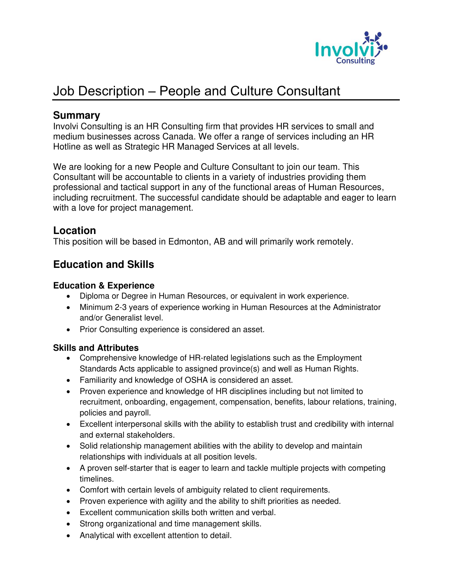

# Job Description – People and Culture Consultant

### **Summary**

Involvi Consulting is an HR Consulting firm that provides HR services to small and medium businesses across Canada. We offer a range of services including an HR Hotline as well as Strategic HR Managed Services at all levels.

We are looking for a new People and Culture Consultant to join our team. This Consultant will be accountable to clients in a variety of industries providing them professional and tactical support in any of the functional areas of Human Resources, including recruitment. The successful candidate should be adaptable and eager to learn with a love for project management.

## **Location**

This position will be based in Edmonton, AB and will primarily work remotely.

# **Education and Skills**

#### **Education & Experience**

- Diploma or Degree in Human Resources, or equivalent in work experience.
- Minimum 2-3 years of experience working in Human Resources at the Administrator and/or Generalist level.
- Prior Consulting experience is considered an asset.

#### **Skills and Attributes**

- Comprehensive knowledge of HR-related legislations such as the Employment Standards Acts applicable to assigned province(s) and well as Human Rights.
- Familiarity and knowledge of OSHA is considered an asset.
- Proven experience and knowledge of HR disciplines including but not limited to recruitment, onboarding, engagement, compensation, benefits, labour relations, training, policies and payroll.
- Excellent interpersonal skills with the ability to establish trust and credibility with internal and external stakeholders.
- Solid relationship management abilities with the ability to develop and maintain relationships with individuals at all position levels.
- A proven self-starter that is eager to learn and tackle multiple projects with competing timelines.
- Comfort with certain levels of ambiguity related to client requirements.
- Proven experience with agility and the ability to shift priorities as needed.
- Excellent communication skills both written and verbal.
- Strong organizational and time management skills.
- Analytical with excellent attention to detail.